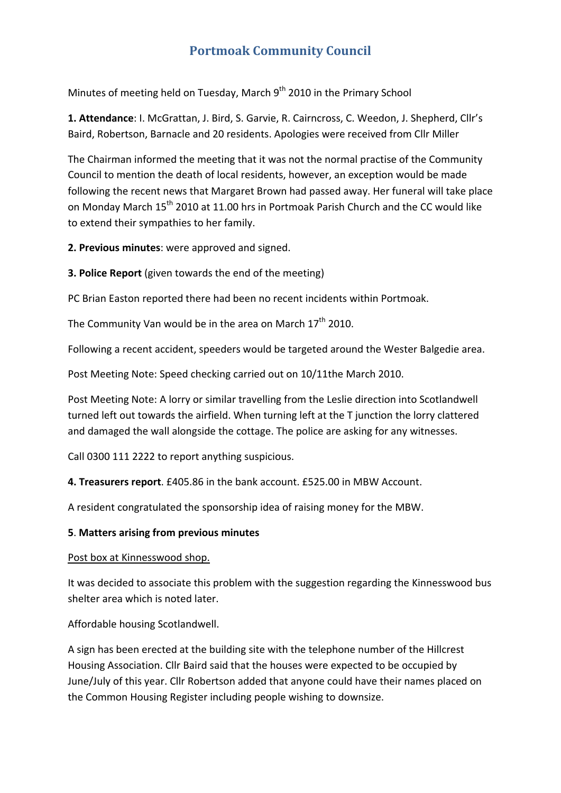# **Portmoak Community Council**

Minutes of meeting held on Tuesday, March  $9<sup>th</sup>$  2010 in the Primary School

**1. Attendance**: I. McGrattan, J. Bird, S. Garvie, R. Cairncross, C. Weedon, J. Shepherd, Cllr's Baird, Robertson, Barnacle and 20 residents. Apologies were received from Cllr Miller

The Chairman informed the meeting that it was not the normal practise of the Community Council to mention the death of local residents, however, an exception would be made following the recent news that Margaret Brown had passed away. Her funeral will take place on Monday March 15<sup>th</sup> 2010 at 11.00 hrs in Portmoak Parish Church and the CC would like to extend their sympathies to her family.

**2. Previous minutes**: were approved and signed.

**3. Police Report** (given towards the end of the meeting)

PC Brian Easton reported there had been no recent incidents within Portmoak.

The Community Van would be in the area on March  $17<sup>th</sup>$  2010.

Following a recent accident, speeders would be targeted around the Wester Balgedie area.

Post Meeting Note: Speed checking carried out on 10/11the March 2010.

Post Meeting Note: A lorry or similar travelling from the Leslie direction into Scotlandwell turned left out towards the airfield. When turning left at the T junction the lorry clattered and damaged the wall alongside the cottage. The police are asking for any witnesses.

Call 0300 111 2222 to report anything suspicious.

**4. Treasurers report**. £405.86 in the bank account. £525.00 in MBW Account.

A resident congratulated the sponsorship idea of raising money for the MBW.

#### **5**. **Matters arising from previous minutes**

#### Post box at Kinnesswood shop.

It was decided to associate this problem with the suggestion regarding the Kinnesswood bus shelter area which is noted later.

Affordable housing Scotlandwell.

A sign has been erected at the building site with the telephone number of the Hillcrest Housing Association. Cllr Baird said that the houses were expected to be occupied by June/July of this year. Cllr Robertson added that anyone could have their names placed on the Common Housing Register including people wishing to downsize.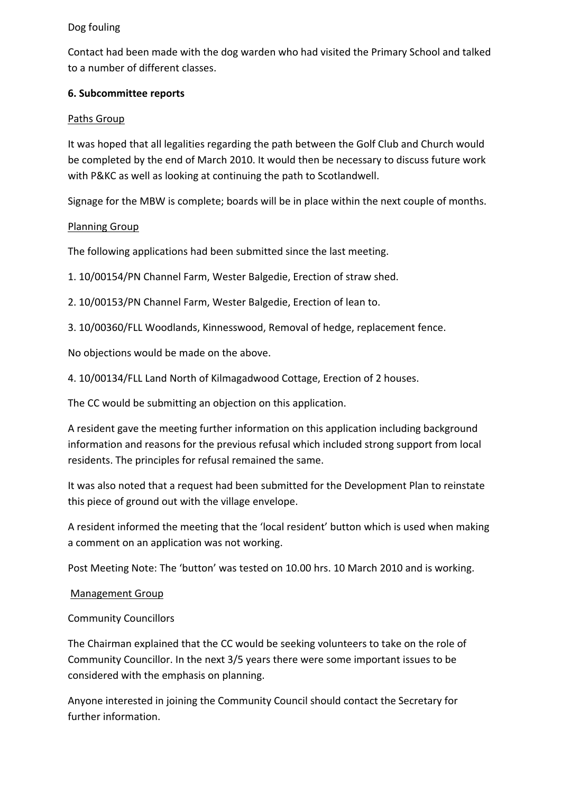### Dog fouling

Contact had been made with the dog warden who had visited the Primary School and talked to a number of different classes.

### **6. Subcommittee reports**

### Paths Group

It was hoped that all legalities regarding the path between the Golf Club and Church would be completed by the end of March 2010. It would then be necessary to discuss future work with P&KC as well as looking at continuing the path to Scotlandwell.

Signage for the MBW is complete; boards will be in place within the next couple of months.

### Planning Group

The following applications had been submitted since the last meeting.

1. 10/00154/PN Channel Farm, Wester Balgedie, Erection of straw shed.

2. 10/00153/PN Channel Farm, Wester Balgedie, Erection of lean to.

3. 10/00360/FLL Woodlands, Kinnesswood, Removal of hedge, replacement fence.

No objections would be made on the above.

4. 10/00134/FLL Land North of Kilmagadwood Cottage, Erection of 2 houses.

The CC would be submitting an objection on this application.

A resident gave the meeting further information on this application including background information and reasons for the previous refusal which included strong support from local residents. The principles for refusal remained the same.

It was also noted that a request had been submitted for the Development Plan to reinstate this piece of ground out with the village envelope.

A resident informed the meeting that the 'local resident' button which is used when making a comment on an application was not working.

Post Meeting Note: The 'button' was tested on 10.00 hrs. 10 March 2010 and is working.

### Management Group

### Community Councillors

The Chairman explained that the CC would be seeking volunteers to take on the role of Community Councillor. In the next 3/5 years there were some important issues to be considered with the emphasis on planning.

Anyone interested in joining the Community Council should contact the Secretary for further information.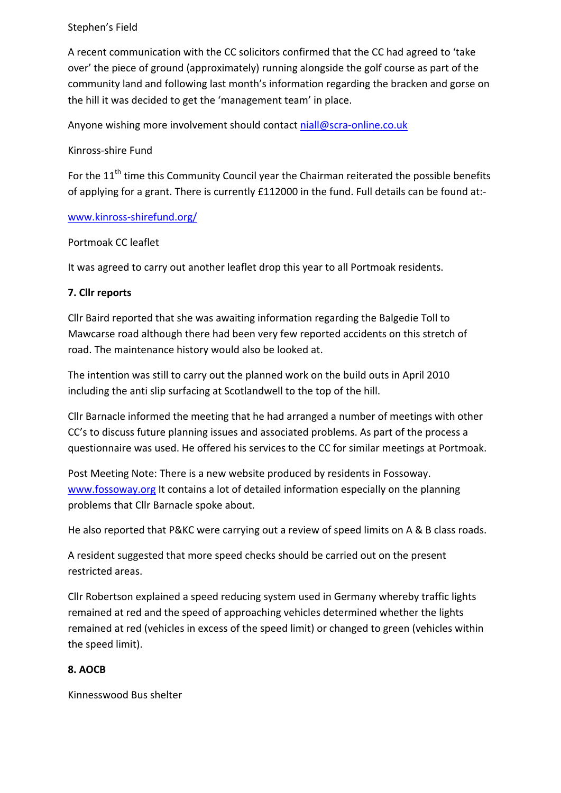### Stephen's Field

A recent communication with the CC solicitors confirmed that the CC had agreed to 'take over' the piece of ground (approximately) running alongside the golf course as part of the community land and following last month's information regarding the bracken and gorse on the hill it was decided to get the 'management team' in place.

Anyone wishing more involvement should contact niall@scra-online.co.uk

## Kinross‐shire Fund

For the 11<sup>th</sup> time this Community Council year the Chairman reiterated the possible benefits of applying for a grant. There is currently £112000 in the fund. Full details can be found at:‐

## www.kinross‐shirefund.org/

### Portmoak CC leaflet

It was agreed to carry out another leaflet drop this year to all Portmoak residents.

### **7. Cllr reports**

Cllr Baird reported that she was awaiting information regarding the Balgedie Toll to Mawcarse road although there had been very few reported accidents on this stretch of road. The maintenance history would also be looked at.

The intention was still to carry out the planned work on the build outs in April 2010 including the anti slip surfacing at Scotlandwell to the top of the hill.

Cllr Barnacle informed the meeting that he had arranged a number of meetings with other CC's to discuss future planning issues and associated problems. As part of the process a questionnaire was used. He offered his services to the CC for similar meetings at Portmoak.

Post Meeting Note: There is a new website produced by residents in Fossoway. www.fossoway.org It contains a lot of detailed information especially on the planning problems that Cllr Barnacle spoke about.

He also reported that P&KC were carrying out a review of speed limits on A & B class roads.

A resident suggested that more speed checks should be carried out on the present restricted areas.

Cllr Robertson explained a speed reducing system used in Germany whereby traffic lights remained at red and the speed of approaching vehicles determined whether the lights remained at red (vehicles in excess of the speed limit) or changed to green (vehicles within the speed limit).

# **8. AOCB**

Kinnesswood Bus shelter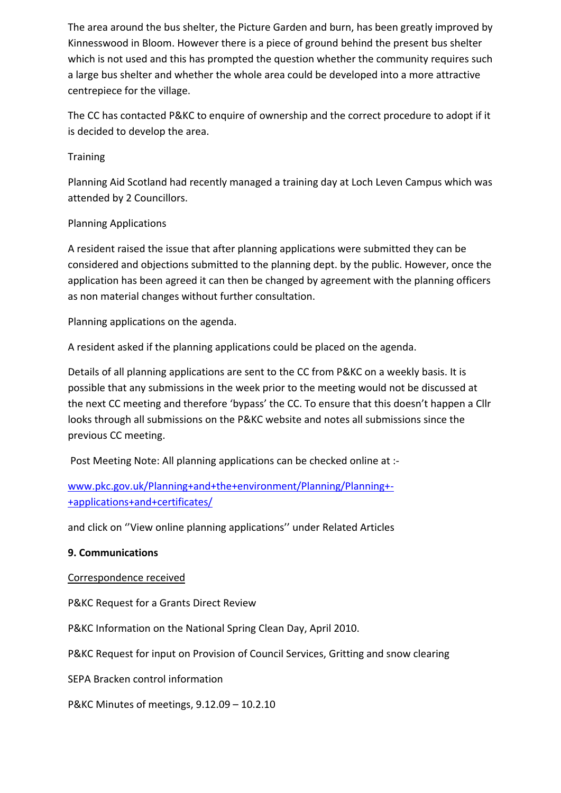The area around the bus shelter, the Picture Garden and burn, has been greatly improved by Kinnesswood in Bloom. However there is a piece of ground behind the present bus shelter which is not used and this has prompted the question whether the community requires such a large bus shelter and whether the whole area could be developed into a more attractive centrepiece for the village.

The CC has contacted P&KC to enquire of ownership and the correct procedure to adopt if it is decided to develop the area.

### **Training**

Planning Aid Scotland had recently managed a training day at Loch Leven Campus which was attended by 2 Councillors.

### Planning Applications

A resident raised the issue that after planning applications were submitted they can be considered and objections submitted to the planning dept. by the public. However, once the application has been agreed it can then be changed by agreement with the planning officers as non material changes without further consultation.

Planning applications on the agenda.

A resident asked if the planning applications could be placed on the agenda.

Details of all planning applications are sent to the CC from P&KC on a weekly basis. It is possible that any submissions in the week prior to the meeting would not be discussed at the next CC meeting and therefore 'bypass' the CC. To ensure that this doesn't happen a Cllr looks through all submissions on the P&KC website and notes all submissions since the previous CC meeting.

Post Meeting Note: All planning applications can be checked online at :‐

www.pkc.gov.uk/Planning+and+the+environment/Planning/Planning+‐ +applications+and+certificates/

and click on ''View online planning applications'' under Related Articles

### **9. Communications**

### Correspondence received

P&KC Request for a Grants Direct Review

P&KC Information on the National Spring Clean Day, April 2010.

P&KC Request for input on Provision of Council Services, Gritting and snow clearing

SEPA Bracken control information

P&KC Minutes of meetings, 9.12.09 – 10.2.10